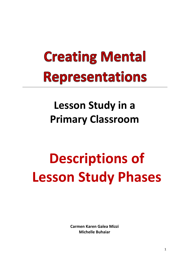## **Creating Mental Representations**

### **Lesson Study in a Primary Classroom**

# **Descriptions of Lesson Study Phases**

**Carmen Karen Galea Mizzi Michelle Buhaiar**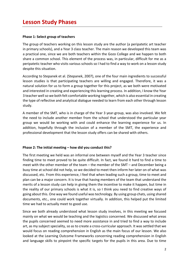#### **Phase 1: Select group of teachers**

The group of teachers working on this lesson study are the author (a peripatetic art teacher in primary schools), and a Year 3 class teacher. The main reason we developed this team was a practical one, since we are both teachers within the Gozo College and we happen to both share a common school. This element of the process was, in particular, difficult for me as a peripatetic teacher who visits various schools so I had to find a way to work on a lesson study despite this situation.

According to Stepanek et al. (Stepanek, 2007), one of the four main ingredients to successful lesson studies is that participating teachers are willing and engaged. Therefore, it was a natural solution for us to form a group together for this project, as we both were motivated and interested in creating and experiencing this learning process. In addition, I know the Year 3 teacher well so we both felt comfortable working together, which is also essential in creating the type of reflective and analytical dialogue needed to learn from each other through lesson study. 

A member of the SMT, who is in charge of the Year 3 year-group, was also involved. We felt the need to include another member from the school that understood the particular year group we would be working with and could enhance the learning experience for us. In addition, hopefully through the inclusion of a member of the SMT, the experience and professional development that the lesson study offers can be shared with others.

#### Phase 2: The initial meeting – how did you conduct this?

The first meeting we held was an informal one between myself and the Year 3 teacher since finding time to meet proved to be quite difficult. In fact, we found it hard to find a time to meet with the other member of the team – the member of the SMT – and December being a busy time at school did not help, so we decided to meet then inform her later on of what was discussed, etc. From this experience, I feel that when leading such a group, time to meet and plan can be a major concern. It is true that having members of the team that understand the merits of a lesson study can help in giving them the incentive to make it happen, but time in the reality of our primary schools is what it is, so I think you need to find creative ways of going about this. One way we found useful was technology. By using group chats, using shared documents, etc., one could work together virtually. In addition, this helped put the limited time we had to actually meet to good use.

Since we both already understood what lesson study involves, in this meeting we focused mainly on what we would be teaching and the logistics concerned. We discussed what areas the pupils concerned seemed to need more assistance in and tried to find a way to include art, as my subject speciality, so as to create a cross-curricular approach. It was settled that we would focus on reading comprehension in English as the main focus of our lesson. We also looked at the Learning Outcome Frameworks concerning reading comprehension in English and language skills to pinpoint the specific targets for the pupils in this area. Due to time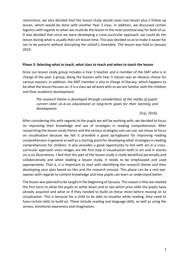restrictions, we also decided that the lesson study would cover one lesson plus a follow up lesson, which would be done with another Year 3 class. In addition, we discussed certain logistics with regards to when we could do the lesson in the most practical way for both of us. It was decided that since we were developing a cross-curricular approach, we could do the lesson during what is usually their art lesson time. This was decided so as to make it easier for me to be present without disrupting the school's timetable. The lesson was held in January 2019. 

#### **Phase 3: Selecting what to teach, what class to teach and when to teach the lesson**

Since our lesson study group includes a Year 3 teacher and a member of the SMT who is in charge of the year 3 group, doing the lessons with Year 3 classes was an obvious choice for various reasons. In addition, the SMT member is also in charge of literacy, which happens to be what the lesson focuses on. It is a class we all work with so we are familiar with the children and their academic development.

The research theme is developed through consideration of the reality of pupils' *current state vis-à-vis educational or long-term goals for their learning and development.*

(Fuji, 2016). 

After considering this with regards to the pupils we will be working with, we decided to focus on improving their knowledge and use of strategies in reading comprehension. After researching the lesson study theme and the various strategies one can use, we chose to focus on visualisation because we felt it provided a good springboard for improving reading comprehension in general as well as a starting point for developing other strategies in reading comprehension for children. It also provides a good opportunity to link with art in a crosscurricular approach since images are the first step in visualisation both in art and in stories vis-a-vis illustrations. I feel that this part of the lesson study is really beneficial personally and collaboratively and when leading a lesson study, it needs to be emphasised and used appropriately. That is, it is important to start with identifying the research theme and then developing your plan based on this and the research ensued. This phase can be a real eyeopener with regards to content knowledge and how pupils can learn or understand better.

The lesson was planned to be taught in the beginning of January. The reason is that we needed the first term to allow the pupils to settle down and to see which prior skills the pupils have already acquired and what or if they needed to build on these more before moving on to visualisation. This is because for a child to be able to visualise while reading, they need to have certain skills to build on. These include reading and language skills, as well as using the senses, emotional awareness and imagination.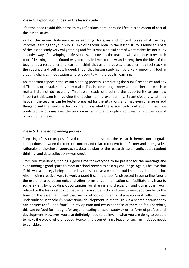#### Phase 4: Exploring our 'idea' in the lesson study

I felt the need to add this phase to my reflections here, because I feel it is an essential part of the lesson study.

Part of the lesson study involves researching strategies and content to see what can help improve learning for your pupils – exploring your 'idea' in the lesson study. I found this part of the lesson study very enlightening and feel it was a crucial part of what makes lesson study an active way of developing professionally. It provides the teacher with a chance to research pupils' learning in a profound way and this led me to renew and strengthen the idea of the teacher as a researcher and learner. I think that as time passes, a teacher may feel stuck in the routines and cultures. Indeed, I feel that lesson study can be a very important tool in creating changes in education where it counts  $-$  in the pupils' learning.

An important aspect in the lesson planning process is predicting the pupils' responses and any difficulties or mistakes they may make. This is something I knew as a teacher but which in reality I did not do regularly. This lesson study offered me the opportunity to see how important this step is in guiding the teacher to improve learning. By anticipating what may happen, the teacher can be better prepared for the situations and may even change or add things to suit the needs better. For me, this is what the lesson study is all about. In fact, we predicted various mistakes the pupils may fall into and so planned ways to help them avoid or overcome these.

#### **Phase 5: The lesson planning process**

Preparing a "lesson proposal"  $-$  a document that describes the research theme, content goals, connections between the current content and related content from former and later grades, rationale for the chosen approach, a detailed plan for the research lesson, anticipated student thinking, and data collection  $-$  was crucial.

From our experience, finding a good time for everyone to be present for the meetings and even finding a good space to meet at school proved to be a big challenge. Again, I believe that if this was a strategy being adopted by the school as a whole it could help this situation a lot. Also, finding creative ways to work around it can help too. As discussed in our online forum, the use of shared documents and other forms of communication can facilitate this issue to some extent by providing opportunities for sharing and discussion and doing other work related to the lesson study so that when you actually do find time to meet you can focus the time on the essential. I feel that such methods of sharing, discussion and reflection are underutilised in teacher's professional development in Malta. This is a shame because they can be very useful and fruitful in my opinion and my experience of them so far. Therefore, this can be food for thought for anyone leading a lesson study or other form of professional development. However, you also definitely need to believe in what you are doing to be able to make the type of effort needed. Hence, this is something a leader of such an initiative needs to consider: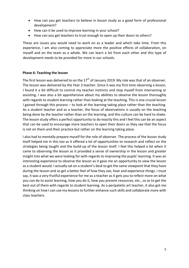- How can you get teachers to believe in lesson study as a good form of professional development?
- How can it be used to improve learning in your school?
- How can you get teachers to trust enough to open up their doors to others?

These are issues you would need to work on as a leader and which take time. From this experience, I am also coming to appreciate more the positive effects of collaboration, on myself and on the team as a whole. We can learn a lot from each other and this type of development needs to be provided for more in our schools.

#### **Phase 6: Teaching the lesson**

The first lesson was delivered to on the  $17<sup>th</sup>$  of January 2019. My role was that of an observer. The lesson was delivered by the Year 3 teacher. Since it was my first time observing a lesson, I found it a bit difficult to control my teacher instincts and stop myself from intervening or assisting. I was also a bit apprehensive about my abilities to observe the lesson thoroughly with regards to student learning rather than looking at the teaching. This is one crucial lesson I gained through this process  $-$  to look at the learning taking place rather than the teaching. As a student teacher and as a teacher, the focus of observations is usually on the teaching being done by the teacher rather than on the learning, and this culture can be hard to shake. The lesson study offers a perfect opportunity to do exactly this and I feel this can be an aspect that can be used to encourage more teachers to open their doors as they see that the focus is not on them and their practice but rather on the learning taking place.

I also had to mentally prepare myself for the role of observer. The process of the lesson study itself helped me in this too as it offered a lot of opportunities to research and reflect on the strategies being taught and the build-up of the lesson itself. I feel this helped a lot when it came to observing the lesson as it provided a sense of ownership in the lesson and greater insight into what we were looking for with regards to improving the pupils' learning. It was an interesting experience to observe the lesson as it gave me an opportunity to view the lesson as a student would. I actually sat on a student's desk to get the same viewpoint that they have during the lesson and so get a better feel of how they see, hear and experience things. I must say, it was a very fruitful experience for me as a teacher as it gets you to reflect more on what you can do to assist learning, how you do it, how you present resources, etc., so as to get the best out of them with regards to student learning. As a peripatetic art teacher, it also got me thinking on how I can use my lessons to further enhance such skills and collaborate more with class teachers.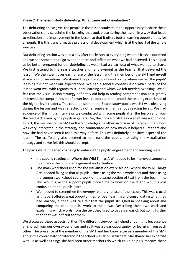#### **Phase 7: The lesson study debriefing: What came out of evaluation?**

The debriefing phase gives the people in the lesson study team the opportunity to share these observations and scrutinise the learning that took place during the lesson in a way that leads to reflection and improvement in the lesson so that it offers better learning opportunities for all pupils. It is this transformative professional development which is at the heart of the whole exercise. 

Our debriefing session was held a day after the lesson so everything was still fresh in our mind and we had some time to go over our notes and reflect on what we had observed. This helped us be better prepared for our debriefing as we all had a clear idea of what we had to share. We first listened to the Year 3 teacher and her viewpoint as the teacher that delivered the lesson. We then went over each phase of the lesson and the member of the SMT and myself shared our observations. We shared the positive points and points where we felt the pupils' learning did not meet our expectations. We had a general consensus on which parts of the lesson went well with regards to student learning and which we felt needed tweaking. We all felt that the visualisation strategy definitely did help in reading comprehension as it greatly improved the comprehension of lower level readers and enhanced the reading experience of the higher-level readers. This could be seen in the 3 case-study pupils which I was observing during the lesson and was reflected by other pupils in their various reading levels. We had evidence of this in the interviews we conducted with some pupils after the lesson and from the feedback given by the pupils in general. So, the choice of strategy we felt was a good one. In fact, the member of the SMT as the 'knowledgeable other' in charge of literacy in the school was very interested in the strategy and commented on how much it helped all readers and how she had never seen it used this way before. This was definitely a positive aspect of the lesson. The scaffolding also seemed to help ease the pupils into using the visualisation strategy and so we felt this should be kept.

The parts we felt needed changing to enhance the pupils' engagement and learning were:

- the second reading of 'Where the Wild Things Are' needed to be improved someway to enhance the pupils' engagement and attention
- The main worksheet used for the visualisation exercises on 'Where the Wild Things Are' needed fixing so that all pupils – those using the main worksheet and those using the support worksheet could work on the same section of text from the beginning. This would give the support pupils more time to work on theirs and would avoid confusion on the pupils' part.
- We needed to strengthen the *neriage* (plenary) phase of the lesson. This was crucial as this part offered great opportunities for peer learning and consolidating what they had learned, if done well. We felt that the pupils struggled in speaking about and comparing the other pupils' work to their own. Describing their own work and explaining which words from the text they used to visualise was ok but going further than that was difficult for them.

We discussed these aspects further. The different viewpoints helped a lot in this because we all shared from our own experiences and so it was a clear opportunity for learning from each other. The presence of the member of the SMT and her knowledge as a member of the SMT and as the co-ordinator of literacy in the school was also useful here. She shared her expertise with us as well as things she had seen other teachers do which could help us improve these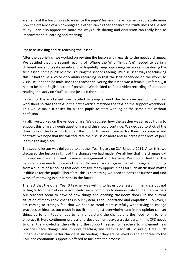elements of the lesson so as to enhance the pupils' learning. Here, I came to appreciate more how the presence of a 'knowledgeable other' can further enhance the fruitfulness of a lesson study. I can also appreciate more the ways such sharing and discussion can really lead to improvement in learning and teaching.

#### **Phase 8: Revising and re-teaching the lesson**

After the debriefing, we worked on revising the lesson with regards to the needed changes. We decided that the second reading of 'Where the Wild Things Are' needed to be in a different voice to create variety and so hopefully keep pupils engaged more since during the first lesson, some pupils lost focus during the second reading. We discussed ways of achieving this. It had to be a voice only audio recording so that the kids depended on the words to visualise. It had to be male since the teacher delivering the lesson was a female. Preferably, it had to be in an English accent if possible. We decided to find a video recording of someone reading the story on YouTube and just use the sound.

Regarding the worksheet, we decided to swap around the two exercises on the main worksheet so that the text in the first exercise matched the text on the support worksheet. This would make it easier for all the pupils to start working at the same time without confusion. 

Finally, we worked on the *neriage* phase. We discussed how the teacher was already trying to support this phase through questioning and this should continue. We decided to stick all the drawings on the board in front of the pupils to make it easier for them to compare and contrast. We hope that this will facilitate the discussion more and so increase the level of peer learning taking place.

The second lesson was delivered to another Year 3 class on  $21<sup>st</sup>$  January 2019. After this, we discussed the lesson in light of the changes we had made. We all feel that the changes did improve each element and increased engagement and learning. We do still feel that the *neriage* phase needs more working on. However, we all agree that at this age and coming from a culture of schooling that does not give many opportunities for such discussions makes it difficult for the pupils. Therefore, this is something we need to consider further and find ways of improving in our lessons in the future.

The fact that the other Year 3 teacher was willing to let us do a lesson in her class but not willing to form part of our lesson study team, continues to demonstrate to me the wariness our teachers seem to have of new things and opening classroom doors. In the current situation of many rapid changes in our system, I can understand and empathise. However, I am coming to strongly feel that we need to tread more carefully when trying to change practices or ideas as too much in too little time just overwhelms and in my opinion can set things up to fail. People need to fully understand the change and the need for it to fully embrace it. Here continuous professional development plays a crucial part, I think. CPD needs to offer the knowledge, the skills and the support needed for teachers to implement new practices, face change, and improve teaching and learning for all. So again, I feel such initiatives can have better chance at succeeding if they are believed in and endorsed by the SMT and continuous support is offered to facilitate the process.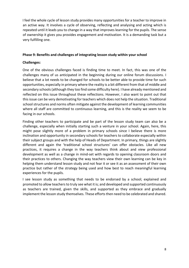I feel the whole cycle of lesson study provides many opportunities for a teacher to improve in an active way. It involves a cycle of observing, reflecting and analysing and acting which is repeated until it leads you to change in a way that improves learning for the pupils. The sense of ownership it gives you provides engagement and motivation. It is a demanding task but a very fulfilling one.

#### Phase 9: Benefits and challenges of integrating lesson study within your school

#### **Challenges:**

One of the obvious challenges faced is finding time to meet. In fact, this was one of the challenges many of us anticipated in the beginning during our online forum discussions. I believe that a lot needs to be changed for schools to be better able to provide time for such opportunities, especially in primary where the reality is a bit different from that of middle and secondary schools (although they too find some difficulty here). I have already mentioned and reflected on this issue throughout these reflections. However, I also want to point out that this issue can be very demotivating for teachers which does not help the situation. Traditional school structures and norms often mitigate against the development of learning communities where all staff are committed to continuous learning, and this is the reality we seem to be facing in our schools.

Finding other teachers to participate and be part of the lesson study team can also be a challenge, especially when initially starting such a venture in your school. Again, here, this might pose slightly more of a problem in primary schools since I believe there is more inclination and opportunity in secondary schools for teachers to collaborate especially within their subject groups and with the help of Heads of Department. In primary, things are slightly different and again the 'traditional school structures' can offer obstacles. Like all new practices, it requires a change in the way teachers think about and view professional development as well as a change in mind-set with regards to opening classroom doors and their practices to others. Changing the way teachers view their own learning can be key in helping them understand lesson study and not fear it or see it as an assessment of their own practice but rather of the strategy being used and how best to reach meaningful learning experiences for the pupils.

I see lesson study as something that needs to be endorsed by a school; explained and promoted to allow teachers to truly see what it is; and developed and supported continuously as teachers are trained, given the skills, and supported as they embrace and gradually implement the lesson study themselves. These efforts then need to be celebrated and shared.